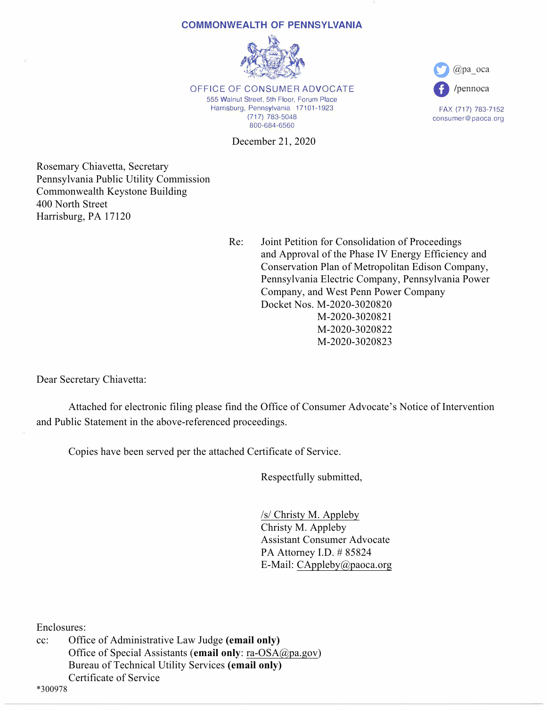#### **COMMONWEALTH OF PENNSYLVANIA**



OFFICE OF CONSUMER ADVOCATE 555 Walnut Street, 5th Floor, Forum Place Harrisburg, Pennsylvania 17101-1923 (717) 783-5048 800-684-6560

December 21, 2020



FAX (717) 783-7152 consumer@paoca.org

Rosemary Chiavetta, Secretary Pennsylvania Public Utility Commission Commonwealth Keystone Building 400 North Street Harrisburg, PA 17120

> Re: Joint Petition for Consolidation of Proceedings and Approval of the Phase IV Energy Efficiency and Conservation Plan of Metropolitan Edison Company, Pennsylvania Electric Company, Pennsylvania Power Company, and West Penn Power Company Docket Nos. M-2020-3020820 M-2020-3020821 M-2020-3020822 M-2020-3020823

Dear Secretary Chiavetta:

 Attached for electronic filing please find the Office of Consumer Advocate's Notice of Intervention and Public Statement in the above-referenced proceedings.

Copies have been served per the attached Certificate of Service.

Respectfully submitted,

 /s/ Christy M. Appleby Christy M. Appleby Assistant Consumer Advocate PA Attorney I.D. # 85824 E-Mail: CAppleby@paoca.org

Enclosures:

cc: Office of Administrative Law Judge **(email only)** Office of Special Assistants (**email only**: ra-OSA@pa.gov) Bureau of Technical Utility Services **(email only)** Certificate of Service

\*300978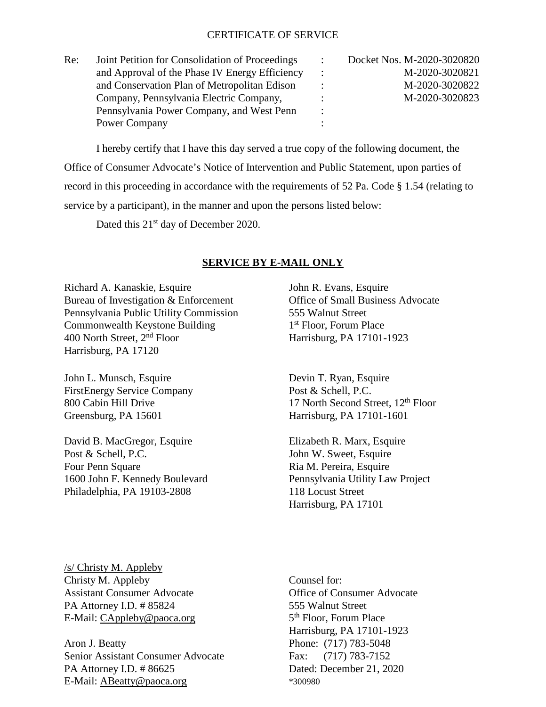### CERTIFICATE OF SERVICE

| Re: | Joint Petition for Consolidation of Proceedings |                | Docket Nos. M-2020-3020820 |
|-----|-------------------------------------------------|----------------|----------------------------|
|     | and Approval of the Phase IV Energy Efficiency  |                | M-2020-3020821             |
|     | and Conservation Plan of Metropolitan Edison    |                | M-2020-3020822             |
|     | Company, Pennsylvania Electric Company,         |                | M-2020-3020823             |
|     | Pennsylvania Power Company, and West Penn       | $\ddot{\cdot}$ |                            |
|     | Power Company                                   |                |                            |

I hereby certify that I have this day served a true copy of the following document, the Office of Consumer Advocate's Notice of Intervention and Public Statement, upon parties of record in this proceeding in accordance with the requirements of 52 Pa. Code § 1.54 (relating to service by a participant), in the manner and upon the persons listed below:

Dated this 21<sup>st</sup> day of December 2020.

### **SERVICE BY E-MAIL ONLY**

Richard A. Kanaskie, Esquire John R. Evans, Esquire Bureau of Investigation & Enforcement Office of Small Business Advocate Pennsylvania Public Utility Commission 555 Walnut Street Commonwealth Keystone Building 1<sup>st</sup> Floor, Forum Place 400 North Street, 2<sup>nd</sup> Floor Harrisburg, PA 17101-Harrisburg, PA 17120

John L. Munsch, Esquire Devin T. Ryan, Esquire FirstEnergy Service Company Post & Schell, P.C. Greensburg, PA 15601 Harrisburg, PA 17101-1601

David B. MacGregor, Esquire Elizabeth R. Marx, Esquire Post & Schell, P.C. John W. Sweet, Esquire Four Penn Square Ria M. Pereira, Esquire 1600 John F. Kennedy Boulevard Pennsylvania Utility Law Project Philadelphia, PA 19103-2808 118 Locust Street

Harrisburg, PA 17101-1923

800 Cabin Hill Drive 17 North Second Street,  $12<sup>th</sup>$  Floor

Harrisburg, PA 17101

/s/ Christy M. Appleby Christy M. Appleby Counsel for: Assistant Consumer Advocate Office of Consumer Advocate PA Attorney I.D. # 85824 555 Walnut Street E-Mail: [CAppleby@paoca.org](mailto:CAppleby@paoca.org) 5<sup>th</sup> Floor, Forum Place

Aron J. Beatty Phone: (717) 783-5048 Senior Assistant Consumer Advocate Fax: (717) 783-7152 PA Attorney I.D. # 86625 Dated: December 21, 2020 E-Mail: <u>ABeatty@paoca.org</u> \*300980

Harrisburg, PA 17101-1923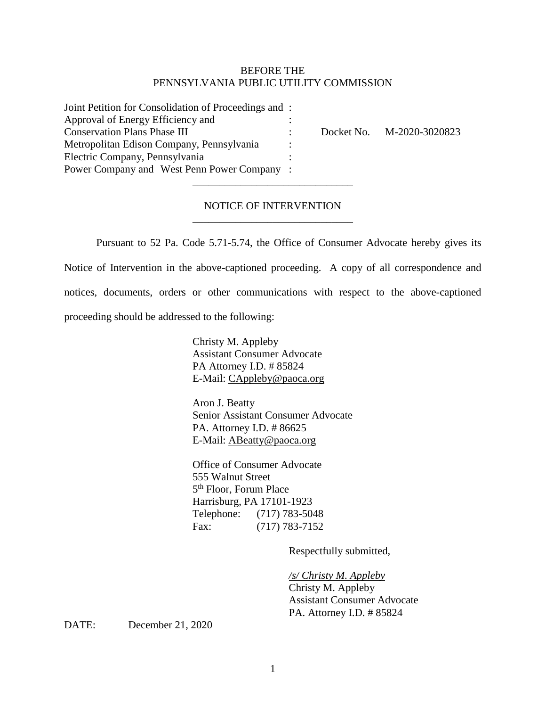## BEFORE THE PENNSYLVANIA PUBLIC UTILITY COMMISSION

| Joint Petition for Consolidation of Proceedings and: |  |                           |
|------------------------------------------------------|--|---------------------------|
| Approval of Energy Efficiency and                    |  |                           |
| <b>Conservation Plans Phase III</b>                  |  | Docket No. M-2020-3020823 |
| Metropolitan Edison Company, Pennsylvania            |  |                           |
| Electric Company, Pennsylvania                       |  |                           |
| Power Company and West Penn Power Company:           |  |                           |

# NOTICE OF INTERVENTION \_\_\_\_\_\_\_\_\_\_\_\_\_\_\_\_\_\_\_\_\_\_\_\_\_\_\_\_\_\_

\_\_\_\_\_\_\_\_\_\_\_\_\_\_\_\_\_\_\_\_\_\_\_\_\_\_\_\_\_\_

Pursuant to 52 Pa. Code 5.71-5.74, the Office of Consumer Advocate hereby gives its Notice of Intervention in the above-captioned proceeding. A copy of all correspondence and notices, documents, orders or other communications with respect to the above-captioned proceeding should be addressed to the following:

> Christy M. Appleby Assistant Consumer Advocate PA Attorney I.D. # 85824 E-Mail: [CAppleby@paoca.org](mailto:CAppleby@paoca.org)

Aron J. Beatty Senior Assistant Consumer Advocate PA. Attorney I.D. # 86625 E-Mail: [ABeatty@paoca.org](mailto:ABeatty@paoca.org)

Office of Consumer Advocate 555 Walnut Street 5th Floor, Forum Place Harrisburg, PA 17101-1923 Telephone: (717) 783-5048 Fax: (717) 783-7152

Respectfully submitted,

*/s/ Christy M. Appleby* Christy M. Appleby Assistant Consumer Advocate PA. Attorney I.D. # 85824

DATE: December 21, 2020